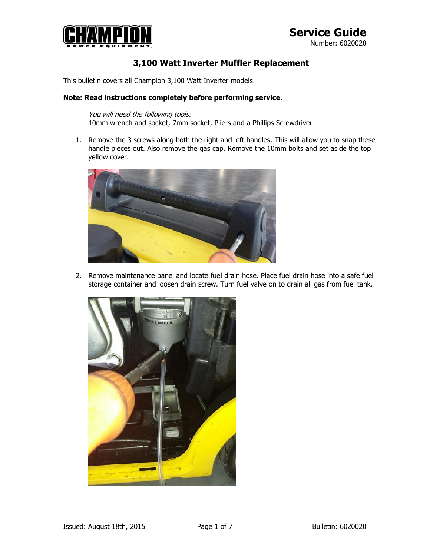

#### **3,100 Watt Inverter Muffler Replacement**

This bulletin covers all Champion 3,100 Watt Inverter models.

#### **Note: Read instructions completely before performing service.**

You will need the following tools: 10mm wrench and socket, 7mm socket, Pliers and a Phillips Screwdriver

1. Remove the 3 screws along both the right and left handles. This will allow you to snap these handle pieces out. Also remove the gas cap. Remove the 10mm bolts and set aside the top yellow cover.



2. Remove maintenance panel and locate fuel drain hose. Place fuel drain hose into a safe fuel storage container and loosen drain screw. Turn fuel valve on to drain all gas from fuel tank.

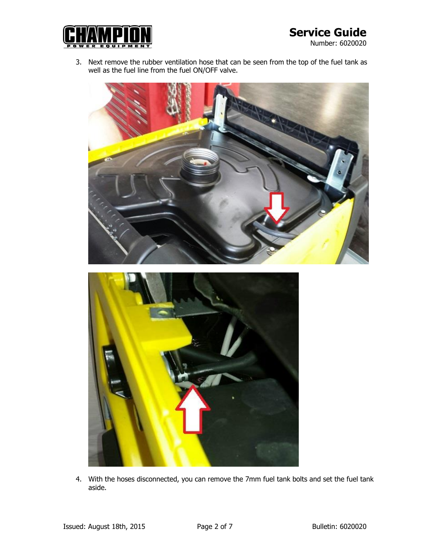

Number: 6020020

3. Next remove the rubber ventilation hose that can be seen from the top of the fuel tank as well as the fuel line from the fuel ON/OFF valve.





4. With the hoses disconnected, you can remove the 7mm fuel tank bolts and set the fuel tank aside.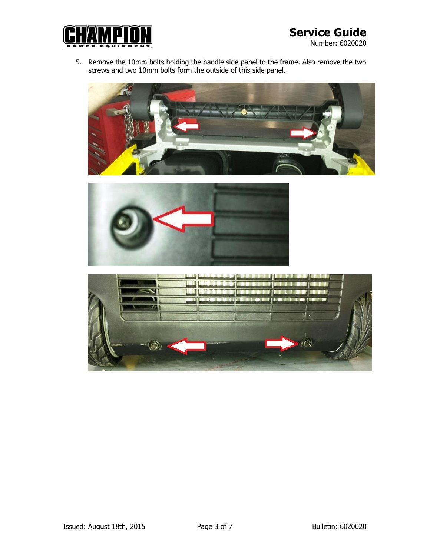

Number: 6020020

5. Remove the 10mm bolts holding the handle side panel to the frame. Also remove the two screws and two 10mm bolts form the outside of this side panel.





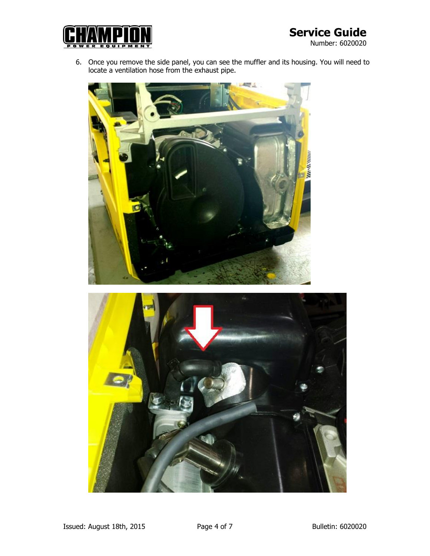

- Number: 6020020
- 6. Once you remove the side panel, you can see the muffler and its housing. You will need to locate a ventilation hose from the exhaust pipe.



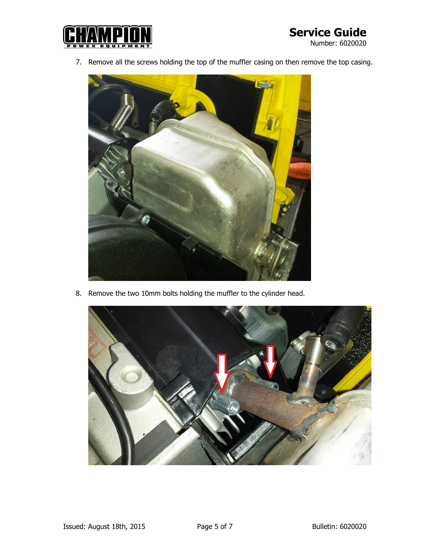

7. Remove all the screws holding the top of the muffler casing on then remove the top casing.



8. Remove the two 10mm bolts holding the muffler to the cylinder head.

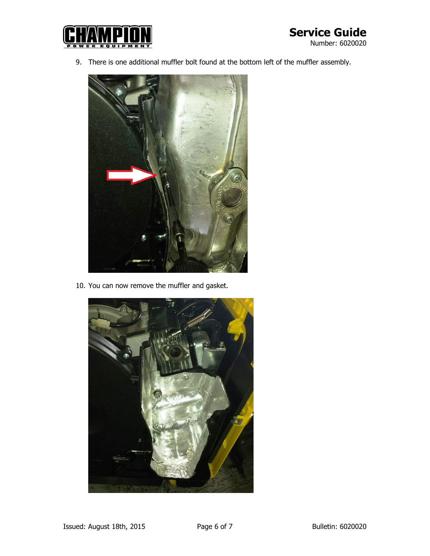

9. There is one additional muffler bolt found at the bottom left of the muffler assembly.



10. You can now remove the muffler and gasket.